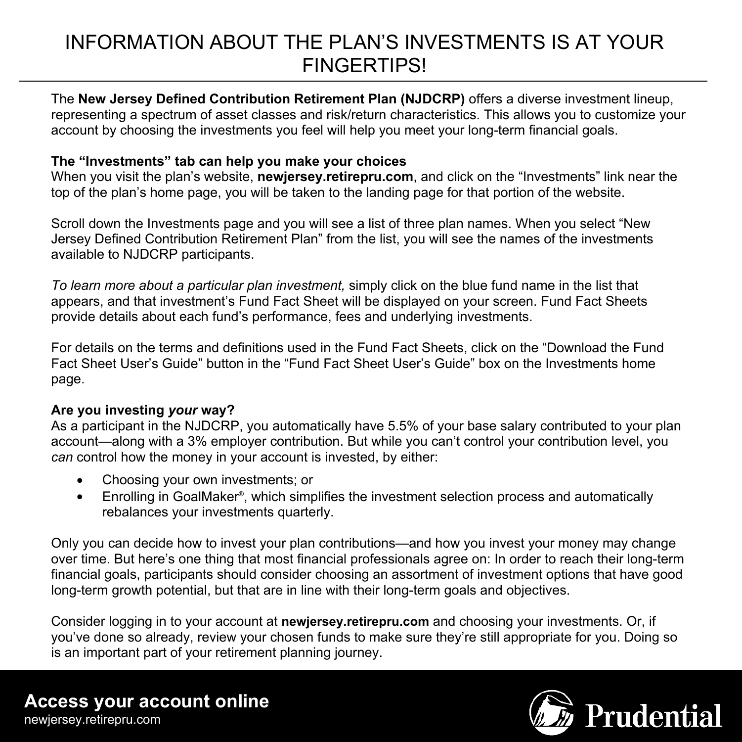# INFORMATION ABOUT THE PLAN'S INVESTMENTS IS AT YOUR **FINGERTIPS!**

The **New Jersey Defined Contribution Retirement Plan (NJDCRP)** offers a diverse investment lineup, representing a spectrum of asset classes and risk/return characteristics. This allows you to customize your account by choosing the investments you feel will help you meet your long-term financial goals.

### **The "Investments" tab can help you make your choices**

When you visit the plan's website, **newjersey.retirepru.com**, and click on the "Investments" link near the top of the plan's home page, you will be taken to the landing page for that portion of the website.

Scroll down the Investments page and you will see a list of three plan names. When you select "New Jersey Defined Contribution Retirement Plan" from the list, you will see the names of the investments available to NJDCRP participants.

*To learn more about a particular plan investment,* simply click on the blue fund name in the list that appears, and that investment's Fund Fact Sheet will be displayed on your screen. Fund Fact Sheets provide details about each fund's performance, fees and underlying investments.

For details on the terms and definitions used in the Fund Fact Sheets, click on the "Download the Fund Fact Sheet User's Guide" button in the "Fund Fact Sheet User's Guide" box on the Investments home page.

#### **Are you investing** *your* **way?**

As a participant in the NJDCRP, you automatically have 5.5% of your base salary contributed to your plan account—along with a 3% employer contribution. But while you can't control your contribution level, you *can* control how the money in your account is invested, by either:

- Choosing your own investments; or
- Enrolling in GoalMaker®, which simplifies the investment selection process and automatically rebalances your investments quarterly.

Only you can decide how to invest your plan contributions—and how you invest your money may change over time. But here's one thing that most financial professionals agree on: In order to reach their long-term financial goals, participants should consider choosing an assortment of investment options that have good long-term growth potential, but that are in line with their long-term goals and objectives.

Consider logging in to your account at **newjersey.retirepru.com** and choosing your investments. Or, if you've done so already, review your chosen funds to make sure they're still appropriate for you. Doing so is an important part of your retirement planning journey.

# **Access your account online**

newjersey.retirepru.com